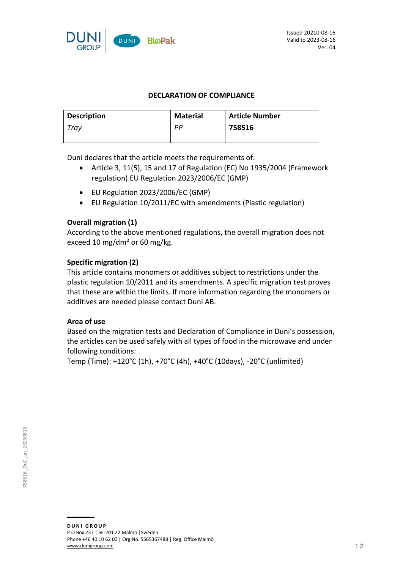

### **DECLARATION OF COMPLIANCE**

| <b>Description</b> | <b>Material</b> | <b>Article Number</b> |
|--------------------|-----------------|-----------------------|
| Trav               | рp              | 758516                |
|                    |                 |                       |

Duni declares that the article meets the requirements of:

- Article 3, 11(5), 15 and 17 of Regulation (EC) No 1935/2004 (Framework regulation) EU Regulation 2023/2006/EC (GMP)
- EU Regulation 2023/2006/EC (GMP)
- EU Regulation 10/2011/EC with amendments (Plastic regulation)

# **Overall migration (1)**

According to the above mentioned regulations, the overall migration does not exceed 10 mg/dm² or 60 mg/kg.

### **Specific migration (2)**

This article contains monomers or additives subject to restrictions under the plastic regulation 10/2011 and its amendments. A specific migration test proves that these are within the limits. If more information regarding the monomers or additives are needed please contact Duni AB.

### **Area of use**

Based on the migration tests and Declaration of Compliance in Duni's possession, the articles can be used safely with all types of food in the microwave and under following conditions:

Temp (Time): +120°C (1h), +70°C (4h), +40°C (10days), -20°C (unlimited)